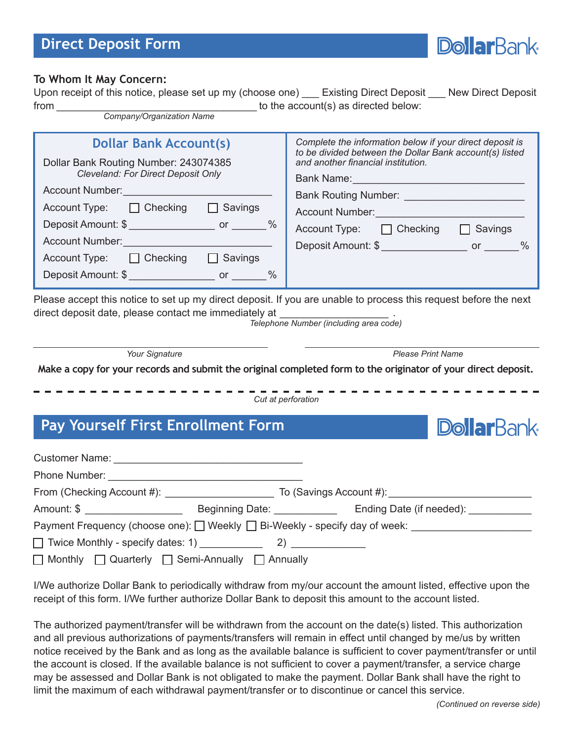#### **Direct Deposit Form**



#### **To Whom It May Concern:**

Upon receipt of this notice, please set up my (choose one) Existing Direct Deposit New Direct Deposit from the account(s) as directed below: *Company/Organization Name*

| <b>Dollar Bank Account(s)</b><br>Dollar Bank Routing Number: 243074385<br>Cleveland: For Direct Deposit Only<br>Account Number:<br><u> account Number:</u><br>$\textsf{Account Type:} \qquad \Box \textsf{Checking}$<br>$\Box$ Savings<br>Account Number:<br><u> account Number:</u><br>$Account Type: \Box Checking \Box$ Savings | Complete the information below if your direct deposit is<br>to be divided between the Dollar Bank account(s) listed<br>and another financial institution.<br>Account Type: $\Box$ Checking $\Box$<br>Savings<br>Deposit Amount: \$ |  |
|------------------------------------------------------------------------------------------------------------------------------------------------------------------------------------------------------------------------------------------------------------------------------------------------------------------------------------|------------------------------------------------------------------------------------------------------------------------------------------------------------------------------------------------------------------------------------|--|
| Please accept this notice to set up my direct deposit. If you are unable to process this request before the next<br>direct deposit date, please contact me immediately at __________________________                                                                                                                               |                                                                                                                                                                                                                                    |  |
|                                                                                                                                                                                                                                                                                                                                    |                                                                                                                                                                                                                                    |  |

*Telephone Number (including area code)*

*Your Signature*

*Please Print Name*

**Make a copy for your records and submit the original completed form to the originator of your direct deposit.**

*Cut at perforation*

### **Pay Yourself First Enrollment Form**

| Amount: \$ ____________________                                      | Beginning Date: _____________ | Ending Date (if needed):                                                    |
|----------------------------------------------------------------------|-------------------------------|-----------------------------------------------------------------------------|
|                                                                      |                               | Payment Frequency (choose one): □ Weekly □ Bi-Weekly - specify day of week: |
|                                                                      |                               |                                                                             |
| $\Box$ Monthly $\Box$ Quarterly $\Box$ Semi-Annually $\Box$ Annually |                               |                                                                             |

I/We authorize Dollar Bank to periodically withdraw from my/our account the amount listed, effective upon the receipt of this form. I/We further authorize Dollar Bank to deposit this amount to the account listed.

The authorized payment/transfer will be withdrawn from the account on the date(s) listed. This authorization and all previous authorizations of payments/transfers will remain in effect until changed by me/us by written notice received by the Bank and as long as the available balance is sufficient to cover payment/transfer or until the account is closed. If the available balance is not sufficient to cover a payment/transfer, a service charge may be assessed and Dollar Bank is not obligated to make the payment. Dollar Bank shall have the right to limit the maximum of each withdrawal payment/transfer or to discontinue or cancel this service.

**DollarBank**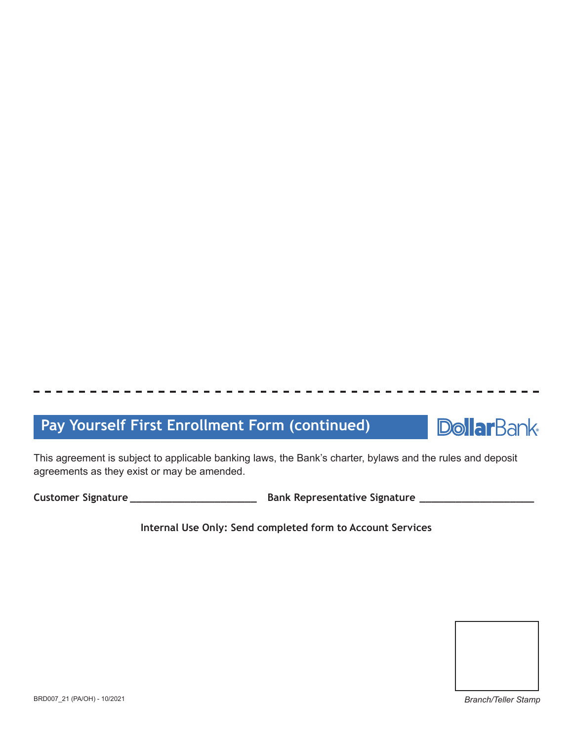## **Pay Yourself First Enrollment Form (continued)**



This agreement is subject to applicable banking laws, the Bank's charter, bylaws and the rules and deposit agreements as they exist or may be amended.

**Customer Signature \_\_\_\_\_\_\_\_\_\_\_\_\_\_\_\_\_\_\_\_\_ Bank Representative Signature \_\_\_\_\_\_\_\_\_\_\_\_\_\_\_\_\_\_\_**

**Internal Use Only: Send completed form to Account Services**